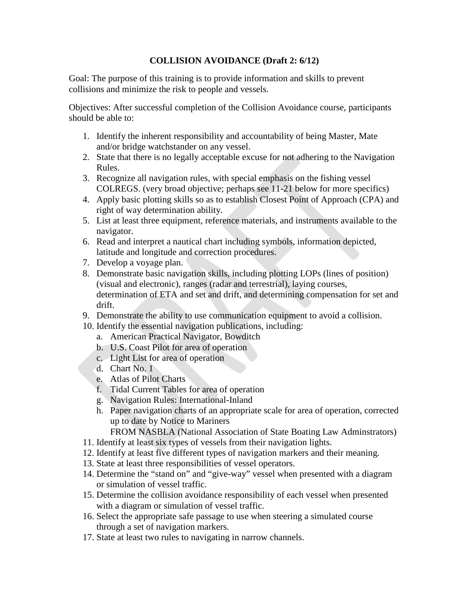## **COLLISION AVOIDANCE (Draft 2: 6/12)**

Goal: The purpose of this training is to provide information and skills to prevent collisions and minimize the risk to people and vessels.

Objectives: After successful completion of the Collision Avoidance course, participants should be able to:

- 1. Identify the inherent responsibility and accountability of being Master, Mate and/or bridge watchstander on any vessel.
- 2. State that there is no legally acceptable excuse for not adhering to the Navigation Rules.
- 3. Recognize all navigation rules, with special emphasis on the fishing vessel COLREGS. (very broad objective; perhaps see 11-21 below for more specifics)
- 4. Apply basic plotting skills so as to establish Closest Point of Approach (CPA) and right of way determination ability.
- 5. List at least three equipment, reference materials, and instruments available to the navigator.
- 6. Read and interpret a nautical chart including symbols, information depicted, latitude and longitude and correction procedures.
- 7. Develop a voyage plan.
- 8. Demonstrate basic navigation skills, including plotting LOPs (lines of position) (visual and electronic), ranges (radar and terrestrial), laying courses, determination of ETA and set and drift, and determining compensation for set and drift.
- 9. Demonstrate the ability to use communication equipment to avoid a collision.
- 10. Identify the essential navigation publications, including:
	- a. American Practical Navigator, Bowditch
	- b. U.S. Coast Pilot for area of operation
	- c. Light List for area of operation
	- d. Chart No. 1
	- e. Atlas of Pilot Charts
	- f. Tidal Current Tables for area of operation
	- g. Navigation Rules: International-Inland
	- h. Paper navigation charts of an appropriate scale for area of operation, corrected up to date by Notice to Mariners

FROM NASBLA (National Association of State Boating Law Adminstrators)

- 11. Identify at least six types of vessels from their navigation lights.
- 12. Identify at least five different types of navigation markers and their meaning.
- 13. State at least three responsibilities of vessel operators.
- 14. Determine the "stand on" and "give-way" vessel when presented with a diagram or simulation of vessel traffic.
- 15. Determine the collision avoidance responsibility of each vessel when presented with a diagram or simulation of vessel traffic.
- 16. Select the appropriate safe passage to use when steering a simulated course through a set of navigation markers.
- 17. State at least two rules to navigating in narrow channels.